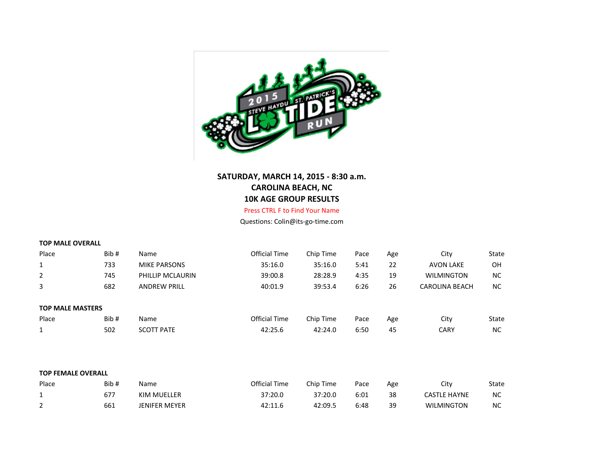

## **SATURDAY, MARCH 14, 2015 - 8:30 a.m. CAROLINA BEACH, NC 10K AGE GROUP RESULTS**

## Press CTRL F to Find Your Name

Questions: Colin@its-go-time.com

|  |  | <b>TOP MALE OVERALL</b> |  |
|--|--|-------------------------|--|
|--|--|-------------------------|--|

| Place                   | Bib# | Name                | <b>Official Time</b> | Chip Time | Pace | Age | City                  | State     |
|-------------------------|------|---------------------|----------------------|-----------|------|-----|-----------------------|-----------|
| $\mathbf{1}$            | 733  | <b>MIKE PARSONS</b> | 35:16.0              | 35:16.0   | 5:41 | 22  | <b>AVON LAKE</b>      | OH        |
| $\overline{2}$          | 745  | PHILLIP MCLAURIN    | 39:00.8              | 28:28.9   | 4:35 | 19  | <b>WILMINGTON</b>     | <b>NC</b> |
| 3                       | 682  | <b>ANDREW PRILL</b> | 40:01.9              | 39:53.4   | 6:26 | 26  | <b>CAROLINA BEACH</b> | <b>NC</b> |
|                         |      |                     |                      |           |      |     |                       |           |
| <b>TOP MALE MASTERS</b> |      |                     |                      |           |      |     |                       |           |
| Place                   | Bib# | Name                | <b>Official Time</b> | Chip Time | Pace | Age | City                  | State     |
|                         | 502  | <b>SCOTT PATE</b>   | 42:25.6              | 42:24.0   | 6:50 | 45  | <b>CARY</b>           | <b>NC</b> |

|  |  | <b>TOP FEMALE OVERALL</b> |
|--|--|---------------------------|
|--|--|---------------------------|

| Place    | Bib# | Name          | Official Time | Chip Time | Pace | Age | Citv                | State     |
|----------|------|---------------|---------------|-----------|------|-----|---------------------|-----------|
|          | 677  | KIM MUELLER   | 37:20.0       | 37:20.0   | 6:01 | 38  | <b>CASTLE HAYNE</b> | <b>NC</b> |
| <u>.</u> | 661  | JENIFER MEYER | 42:11.6       | 42:09.5   | 6:48 | 39  | <b>WILMINGTON</b>   | NС        |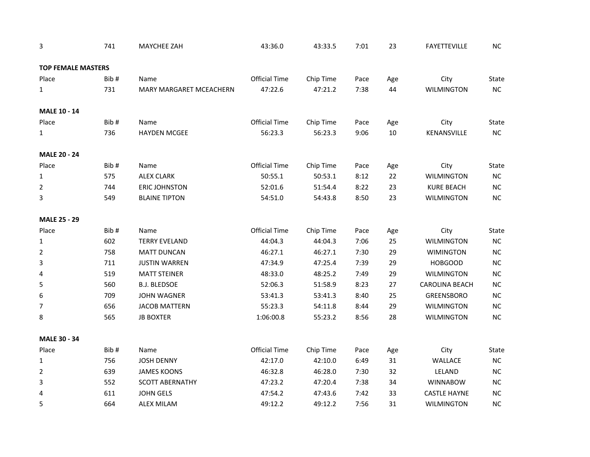| 3                         | 741  | <b>MAYCHEE ZAH</b>             | 43:36.0              | 43:33.5   | 7:01 | 23  | <b>FAYETTEVILLE</b>   | NC         |
|---------------------------|------|--------------------------------|----------------------|-----------|------|-----|-----------------------|------------|
| <b>TOP FEMALE MASTERS</b> |      |                                |                      |           |      |     |                       |            |
| Place                     | Bib# | Name                           | <b>Official Time</b> | Chip Time | Pace | Age | City                  | State      |
| $\mathbf{1}$              | 731  | <b>MARY MARGARET MCEACHERN</b> | 47:22.6              | 47:21.2   | 7:38 | 44  | <b>WILMINGTON</b>     | NC         |
| <b>MALE 10 - 14</b>       |      |                                |                      |           |      |     |                       |            |
| Place                     | Bib# | Name                           | <b>Official Time</b> | Chip Time | Pace | Age | City                  | State      |
| $\mathbf{1}$              | 736  | <b>HAYDEN MCGEE</b>            | 56:23.3              | 56:23.3   | 9:06 | 10  | KENANSVILLE           | NC         |
| <b>MALE 20 - 24</b>       |      |                                |                      |           |      |     |                       |            |
| Place                     | Bib# | Name                           | <b>Official Time</b> | Chip Time | Pace | Age | City                  | State      |
| 1                         | 575  | <b>ALEX CLARK</b>              | 50:55.1              | 50:53.1   | 8:12 | 22  | <b>WILMINGTON</b>     | ${\sf NC}$ |
| $\overline{2}$            | 744  | <b>ERIC JOHNSTON</b>           | 52:01.6              | 51:54.4   | 8:22 | 23  | <b>KURE BEACH</b>     | NC         |
| 3                         | 549  | <b>BLAINE TIPTON</b>           | 54:51.0              | 54:43.8   | 8:50 | 23  | <b>WILMINGTON</b>     | NC         |
| <b>MALE 25 - 29</b>       |      |                                |                      |           |      |     |                       |            |
| Place                     | Bib# | Name                           | <b>Official Time</b> | Chip Time | Pace | Age | City                  | State      |
| $\mathbf 1$               | 602  | <b>TERRY EVELAND</b>           | 44:04.3              | 44:04.3   | 7:06 | 25  | <b>WILMINGTON</b>     | NC         |
| $\overline{2}$            | 758  | <b>MATT DUNCAN</b>             | 46:27.1              | 46:27.1   | 7:30 | 29  | <b>WIMINGTON</b>      | NC         |
| 3                         | 711  | <b>JUSTIN WARREN</b>           | 47:34.9              | 47:25.4   | 7:39 | 29  | <b>HOBGOOD</b>        | $NC$       |
| 4                         | 519  | <b>MATT STEINER</b>            | 48:33.0              | 48:25.2   | 7:49 | 29  | <b>WILMINGTON</b>     | NC         |
| 5                         | 560  | <b>B.J. BLEDSOE</b>            | 52:06.3              | 51:58.9   | 8:23 | 27  | <b>CAROLINA BEACH</b> | $NC$       |
| 6                         | 709  | <b>JOHN WAGNER</b>             | 53:41.3              | 53:41.3   | 8:40 | 25  | <b>GREENSBORO</b>     | $NC$       |
| $\overline{7}$            | 656  | <b>JACOB MATTERN</b>           | 55:23.3              | 54:11.8   | 8:44 | 29  | <b>WILMINGTON</b>     | $NC$       |
| 8                         | 565  | <b>JB BOXTER</b>               | 1:06:00.8            | 55:23.2   | 8:56 | 28  | <b>WILMINGTON</b>     | NC         |
| <b>MALE 30 - 34</b>       |      |                                |                      |           |      |     |                       |            |
| Place                     | Bib# | Name                           | <b>Official Time</b> | Chip Time | Pace | Age | City                  | State      |
| 1                         | 756  | <b>JOSH DENNY</b>              | 42:17.0              | 42:10.0   | 6:49 | 31  | WALLACE               | NC         |
| $\overline{2}$            | 639  | <b>JAMES KOONS</b>             | 46:32.8              | 46:28.0   | 7:30 | 32  | LELAND                | NC         |
| 3                         | 552  | <b>SCOTT ABERNATHY</b>         | 47:23.2              | 47:20.4   | 7:38 | 34  | <b>WINNABOW</b>       | $NC$       |
| 4                         | 611  | <b>JOHN GELS</b>               | 47:54.2              | 47:43.6   | 7:42 | 33  | <b>CASTLE HAYNE</b>   | $NC$       |
| 5                         | 664  | <b>ALEX MILAM</b>              | 49:12.2              | 49:12.2   | 7:56 | 31  | <b>WILMINGTON</b>     | NC         |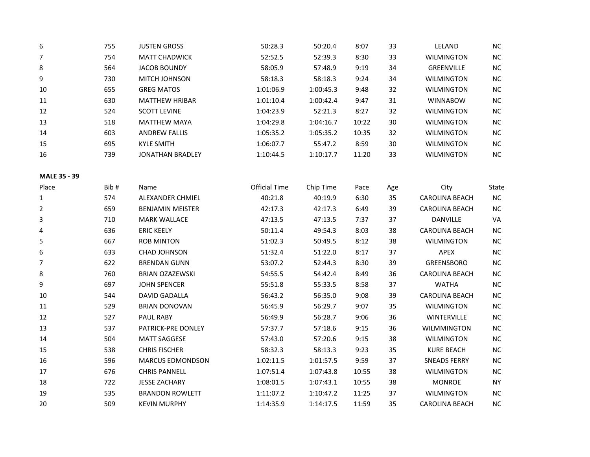| 6  | 755 | <b>JUSTEN GROSS</b>     | 50:28.3   | 50:20.4   | 8:07  | 33 | LELAND            | <b>NC</b> |
|----|-----|-------------------------|-----------|-----------|-------|----|-------------------|-----------|
| 7  | 754 | <b>MATT CHADWICK</b>    | 52:52.5   | 52:39.3   | 8:30  | 33 | <b>WILMINGTON</b> | <b>NC</b> |
| 8  | 564 | <b>JACOB BOUNDY</b>     | 58:05.9   | 57:48.9   | 9:19  | 34 | <b>GREENVILLE</b> | <b>NC</b> |
| 9  | 730 | <b>MITCH JOHNSON</b>    | 58:18.3   | 58:18.3   | 9:24  | 34 | <b>WILMINGTON</b> | <b>NC</b> |
| 10 | 655 | <b>GREG MATOS</b>       | 1:01:06.9 | 1:00:45.3 | 9:48  | 32 | <b>WILMINGTON</b> | <b>NC</b> |
| 11 | 630 | <b>MATTHEW HRIBAR</b>   | 1:01:10.4 | 1:00:42.4 | 9:47  | 31 | <b>WINNABOW</b>   | <b>NC</b> |
| 12 | 524 | <b>SCOTT LEVINE</b>     | 1:04:23.9 | 52:21.3   | 8:27  | 32 | <b>WILMINGTON</b> | NC        |
| 13 | 518 | <b>MATTHEW MAYA</b>     | 1:04:29.8 | 1:04:16.7 | 10:22 | 30 | <b>WILMINGTON</b> | <b>NC</b> |
| 14 | 603 | <b>ANDREW FALLIS</b>    | 1:05:35.2 | 1:05:35.2 | 10:35 | 32 | <b>WILMINGTON</b> | <b>NC</b> |
| 15 | 695 | <b>KYLE SMITH</b>       | 1:06:07.7 | 55:47.2   | 8:59  | 30 | <b>WILMINGTON</b> | <b>NC</b> |
| 16 | 739 | <b>JONATHAN BRADLEY</b> | 1:10:44.5 | 1:10:17.7 | 11:20 | 33 | <b>WILMINGTON</b> | <b>NC</b> |

## **MALE 35 - 39**

| Place | Bib# | Name                      | Official Time | Chip Time | Pace  | Age | City                  | State     |
|-------|------|---------------------------|---------------|-----------|-------|-----|-----------------------|-----------|
| 1     | 574  | <b>ALEXANDER CHMIEL</b>   | 40:21.8       | 40:19.9   | 6:30  | 35  | <b>CAROLINA BEACH</b> | <b>NC</b> |
| 2     | 659  | <b>BENJAMIN MEISTER</b>   | 42:17.3       | 42:17.3   | 6:49  | 39  | <b>CAROLINA BEACH</b> | <b>NC</b> |
| 3     | 710  | <b>MARK WALLACE</b>       | 47:13.5       | 47:13.5   | 7:37  | 37  | <b>DANVILLE</b>       | VA        |
| 4     | 636  | <b>ERIC KEELY</b>         | 50:11.4       | 49:54.3   | 8:03  | 38  | <b>CAROLINA BEACH</b> | NC        |
| 5     | 667  | <b>ROB MINTON</b>         | 51:02.3       | 50:49.5   | 8:12  | 38  | <b>WILMINGTON</b>     | <b>NC</b> |
| 6     | 633  | <b>CHAD JOHNSON</b>       | 51:32.4       | 51:22.0   | 8:17  | 37  | APEX                  | NC        |
| 7     | 622  | <b>BRENDAN GUNN</b>       | 53:07.2       | 52:44.3   | 8:30  | 39  | <b>GREENSBORO</b>     | NC        |
| 8     | 760  | <b>BRIAN OZAZEWSKI</b>    | 54:55.5       | 54:42.4   | 8:49  | 36  | <b>CAROLINA BEACH</b> | <b>NC</b> |
| 9     | 697  | <b>JOHN SPENCER</b>       | 55:51.8       | 55:33.5   | 8:58  | 37  | <b>WATHA</b>          | NC        |
| 10    | 544  | <b>DAVID GADALLA</b>      | 56:43.2       | 56:35.0   | 9:08  | 39  | <b>CAROLINA BEACH</b> | <b>NC</b> |
| 11    | 529  | <b>BRIAN DONOVAN</b>      | 56:45.9       | 56:29.7   | 9:07  | 35  | <b>WILMINGTON</b>     | NC        |
| 12    | 527  | <b>PAUL RABY</b>          | 56:49.9       | 56:28.7   | 9:06  | 36  | <b>WINTERVILLE</b>    | <b>NC</b> |
| 13    | 537  | <b>PATRICK-PRE DONLEY</b> | 57:37.7       | 57:18.6   | 9:15  | 36  | <b>WILMMINGTON</b>    | <b>NC</b> |
| 14    | 504  | <b>MATT SAGGESE</b>       | 57:43.0       | 57:20.6   | 9:15  | 38  | <b>WILMINGTON</b>     | <b>NC</b> |
| 15    | 538  | <b>CHRIS FISCHER</b>      | 58:32.3       | 58:13.3   | 9:23  | 35  | <b>KURE BEACH</b>     | <b>NC</b> |
| 16    | 596  | <b>MARCUS EDMONDSON</b>   | 1:02:11.5     | 1:01:57.5 | 9:59  | 37  | <b>SNEADS FERRY</b>   | <b>NC</b> |
| 17    | 676  | <b>CHRIS PANNELL</b>      | 1:07:51.4     | 1:07:43.8 | 10:55 | 38  | <b>WILMINGTON</b>     | <b>NC</b> |
| 18    | 722  | <b>JESSE ZACHARY</b>      | 1:08:01.5     | 1:07:43.1 | 10:55 | 38  | <b>MONROE</b>         | <b>NY</b> |
| 19    | 535  | <b>BRANDON ROWLETT</b>    | 1:11:07.2     | 1:10:47.2 | 11:25 | 37  | <b>WILMINGTON</b>     | <b>NC</b> |
| 20    | 509  | <b>KEVIN MURPHY</b>       | 1:14:35.9     | 1:14:17.5 | 11:59 | 35  | <b>CAROLINA BEACH</b> | NC        |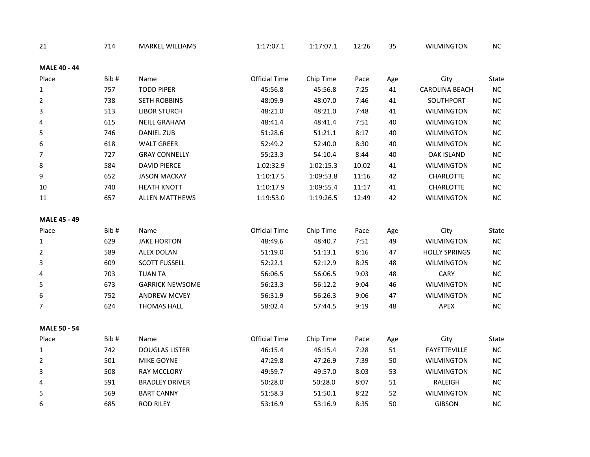| 21                  | 714  | <b>MARKEL WILLIAMS</b> | 1:17:07.1            | 1:17:07.1 | 12:26 | 35  | <b>WILMINGTON</b>     | NC       |
|---------------------|------|------------------------|----------------------|-----------|-------|-----|-----------------------|----------|
| <b>MALE 40 - 44</b> |      |                        |                      |           |       |     |                       |          |
| Place               | Bib# | Name                   | <b>Official Time</b> | Chip Time | Pace  | Age | City                  | State    |
| $\mathbf{1}$        | 757  | <b>TODD PIPER</b>      | 45:56.8              | 45:56.8   | 7:25  | 41  | <b>CAROLINA BEACH</b> | $NC$     |
| $\overline{2}$      | 738  | <b>SETH ROBBINS</b>    | 48:09.9              | 48:07.0   | 7:46  | 41  | SOUTHPORT             | $NC$     |
| 3                   | 513  | <b>LIBOR STURCH</b>    | 48:21.0              | 48:21.0   | 7:48  | 41  | <b>WILMINGTON</b>     | $NC$     |
| 4                   | 615  | <b>NEILL GRAHAM</b>    | 48:41.4              | 48:41.4   | 7:51  | 40  | <b>WILMINGTON</b>     | NC       |
| 5                   | 746  | <b>DANIEL ZUB</b>      | 51:28.6              | 51:21.1   | 8:17  | 40  | <b>WILMINGTON</b>     | NC       |
| 6                   | 618  | <b>WALT GREER</b>      | 52:49.2              | 52:40.0   | 8:30  | 40  | <b>WILMINGTON</b>     | $NC$     |
| 7                   | 727  | <b>GRAY CONNELLY</b>   | 55:23.3              | 54:10.4   | 8:44  | 40  | <b>OAK ISLAND</b>     | NC       |
| 8                   | 584  | <b>DAVID PIERCE</b>    | 1:02:32.9            | 1:02:15.3 | 10:02 | 41  | <b>WILMINGTON</b>     | $NC$     |
| 9                   | 652  | <b>JASON MACKAY</b>    | 1:10:17.5            | 1:09:53.8 | 11:16 | 42  | CHARLOTTE             | $NC$     |
| 10                  | 740  | <b>HEATH KNOTT</b>     | 1:10:17.9            | 1:09:55.4 | 11:17 | 41  | <b>CHARLOTTE</b>      | NC       |
| 11                  | 657  | <b>ALLEN MATTHEWS</b>  | 1:19:53.0            | 1:19:26.5 | 12:49 | 42  | <b>WILMINGTON</b>     | $\sf NC$ |
| <b>MALE 45 - 49</b> |      |                        |                      |           |       |     |                       |          |
| Place               | Bib# | Name                   | <b>Official Time</b> | Chip Time | Pace  | Age | City                  | State    |
| 1                   | 629  | <b>JAKE HORTON</b>     | 48:49.6              | 48:40.7   | 7:51  | 49  | <b>WILMINGTON</b>     | NC       |
| $\overline{2}$      | 589  | <b>ALEX DOLAN</b>      | 51:19.0              | 51:13.1   | 8:16  | 47  | <b>HOLLY SPRINGS</b>  | $NC$     |
| 3                   | 609  | <b>SCOTT FUSSELL</b>   | 52:22.1              | 52:12.9   | 8:25  | 48  | <b>WILMINGTON</b>     | $\sf NC$ |
| 4                   | 703  | <b>TUAN TA</b>         | 56:06.5              | 56:06.5   | 9:03  | 48  | <b>CARY</b>           | $NC$     |
| 5                   | 673  | <b>GARRICK NEWSOME</b> | 56:23.3              | 56:12.2   | 9:04  | 46  | <b>WILMINGTON</b>     | NC       |
| 6                   | 752  | <b>ANDREW MCVEY</b>    | 56:31.9              | 56:26.3   | 9:06  | 47  | <b>WILMINGTON</b>     | NC       |
| 7                   | 624  | <b>THOMAS HALL</b>     | 58:02.4              | 57:44.5   | 9:19  | 48  | APEX                  | NC       |
| <b>MALE 50 - 54</b> |      |                        |                      |           |       |     |                       |          |
| Place               | Bib# | Name                   | <b>Official Time</b> | Chip Time | Pace  | Age | City                  | State    |
| 1                   | 742  | <b>DOUGLAS LISTER</b>  | 46:15.4              | 46:15.4   | 7:28  | 51  | <b>FAYETTEVILLE</b>   | NC       |
| $\overline{2}$      | 501  | <b>MIKE GOYNE</b>      | 47:29.8              | 47:26.9   | 7:39  | 50  | <b>WILMINGTON</b>     | NC       |
| 3                   | 508  | <b>RAY MCCLORY</b>     | 49:59.7              | 49:57.0   | 8:03  | 53  | <b>WILMINGTON</b>     | $NC$     |
| 4                   | 591  | <b>BRADLEY DRIVER</b>  | 50:28.0              | 50:28.0   | 8:07  | 51  | RALEIGH               | NC       |
| 5                   | 569  | <b>BART CANNY</b>      | 51:58.3              | 51:50.1   | 8:22  | 52  | <b>WILMINGTON</b>     | NC       |
| 6                   | 685  | <b>ROD RILEY</b>       | 53:16.9              | 53:16.9   | 8:35  | 50  | <b>GIBSON</b>         | NC       |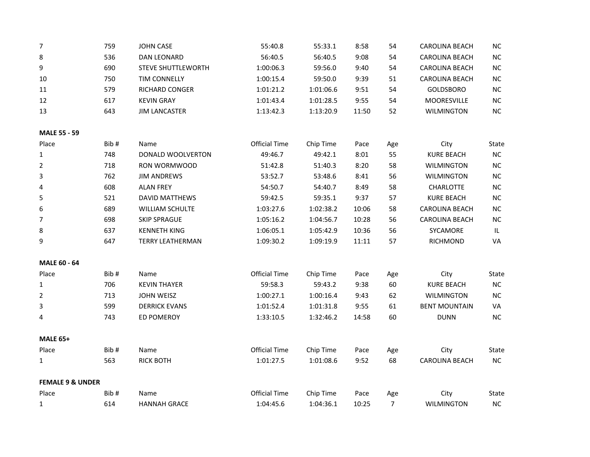| $\overline{7}$              | 759  | <b>JOHN CASE</b>          | 55:40.8              | 55:33.1   | 8:58  | 54             | <b>CAROLINA BEACH</b> | NC                                |
|-----------------------------|------|---------------------------|----------------------|-----------|-------|----------------|-----------------------|-----------------------------------|
| 8                           | 536  | <b>DAN LEONARD</b>        | 56:40.5              | 56:40.5   | 9:08  | 54             | <b>CAROLINA BEACH</b> | NC                                |
| 9                           | 690  | <b>STEVE SHUTTLEWORTH</b> | 1:00:06.3            | 59:56.0   | 9:40  | 54             | <b>CAROLINA BEACH</b> | NC                                |
| 10                          | 750  | TIM CONNELLY              | 1:00:15.4            | 59:50.0   | 9:39  | 51             | <b>CAROLINA BEACH</b> | NC                                |
| 11                          | 579  | RICHARD CONGER            | 1:01:21.2            | 1:01:06.6 | 9:51  | 54             | GOLDSBORO             | $NC$                              |
| 12                          | 617  | <b>KEVIN GRAY</b>         | 1:01:43.4            | 1:01:28.5 | 9:55  | 54             | MOORESVILLE           | NC                                |
| 13                          | 643  | <b>JIM LANCASTER</b>      | 1:13:42.3            | 1:13:20.9 | 11:50 | 52             | <b>WILMINGTON</b>     | NC                                |
| <b>MALE 55 - 59</b>         |      |                           |                      |           |       |                |                       |                                   |
| Place                       | Bib# | Name                      | <b>Official Time</b> | Chip Time | Pace  | Age            | City                  | State                             |
| $\mathbf{1}$                | 748  | DONALD WOOLVERTON         | 49:46.7              | 49:42.1   | 8:01  | 55             | <b>KURE BEACH</b>     | NC                                |
| $\overline{2}$              | 718  | RON WORMWOOD              | 51:42.8              | 51:40.3   | 8:20  | 58             | WILMINGTON            | NC                                |
| 3                           | 762  | <b>JIM ANDREWS</b>        | 53:52.7              | 53:48.6   | 8:41  | 56             | <b>WILMINGTON</b>     | NC                                |
| 4                           | 608  | <b>ALAN FREY</b>          | 54:50.7              | 54:40.7   | 8:49  | 58             | CHARLOTTE             | NC                                |
| 5                           | 521  | <b>DAVID MATTHEWS</b>     | 59:42.5              | 59:35.1   | 9:37  | 57             | <b>KURE BEACH</b>     | NC                                |
| 6                           | 689  | WILLIAM SCHULTE           | 1:03:27.6            | 1:02:38.2 | 10:06 | 58             | <b>CAROLINA BEACH</b> | NC                                |
| 7                           | 698  | <b>SKIP SPRAGUE</b>       | 1:05:16.2            | 1:04:56.7 | 10:28 | 56             | <b>CAROLINA BEACH</b> | <b>NC</b>                         |
| 8                           | 637  | <b>KENNETH KING</b>       | 1:06:05.1            | 1:05:42.9 | 10:36 | 56             | SYCAMORE              | $\ensuremath{\mathsf{IL}}\xspace$ |
| 9                           | 647  | <b>TERRY LEATHERMAN</b>   | 1:09:30.2            | 1:09:19.9 | 11:11 | 57             | RICHMOND              | VA                                |
| <b>MALE 60 - 64</b>         |      |                           |                      |           |       |                |                       |                                   |
| Place                       | Bib# | Name                      | <b>Official Time</b> | Chip Time | Pace  | Age            | City                  | State                             |
| $\mathbf{1}$                | 706  | <b>KEVIN THAYER</b>       | 59:58.3              | 59:43.2   | 9:38  | 60             | <b>KURE BEACH</b>     | NC                                |
| $\overline{2}$              | 713  | JOHN WEISZ                | 1:00:27.1            | 1:00:16.4 | 9:43  | 62             | <b>WILMINGTON</b>     | NC                                |
| 3                           | 599  | <b>DERRICK EVANS</b>      | 1:01:52.4            | 1:01:31.8 | 9:55  | 61             | <b>BENT MOUNTAIN</b>  | VA                                |
| 4                           | 743  | <b>ED POMEROY</b>         | 1:33:10.5            | 1:32:46.2 | 14:58 | 60             | <b>DUNN</b>           | NC                                |
| <b>MALE 65+</b>             |      |                           |                      |           |       |                |                       |                                   |
| Place                       | Bib# | Name                      | <b>Official Time</b> | Chip Time | Pace  | Age            | City                  | State                             |
| $\mathbf{1}$                | 563  | <b>RICK BOTH</b>          | 1:01:27.5            | 1:01:08.6 | 9:52  | 68             | <b>CAROLINA BEACH</b> | NC                                |
| <b>FEMALE 9 &amp; UNDER</b> |      |                           |                      |           |       |                |                       |                                   |
| Place                       | Bib# | Name                      | <b>Official Time</b> | Chip Time | Pace  | Age            | City                  | State                             |
| $\mathbf{1}$                | 614  | <b>HANNAH GRACE</b>       | 1:04:45.6            | 1:04:36.1 | 10:25 | $\overline{7}$ | <b>WILMINGTON</b>     | NC                                |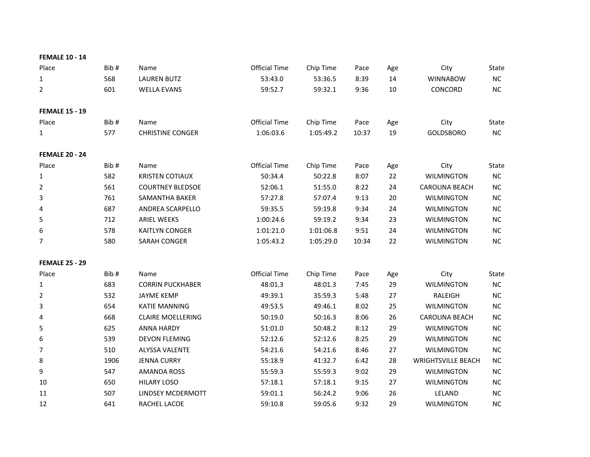| <b>FEMALE 10 - 14</b> |      |                          |                      |           |       |     |                           |           |
|-----------------------|------|--------------------------|----------------------|-----------|-------|-----|---------------------------|-----------|
| Place                 | Bib# | Name                     | <b>Official Time</b> | Chip Time | Pace  | Age | City                      | State     |
| $\mathbf{1}$          | 568  | <b>LAUREN BUTZ</b>       | 53:43.0              | 53:36.5   | 8:39  | 14  | <b>WINNABOW</b>           | NC        |
| $\overline{2}$        | 601  | <b>WELLA EVANS</b>       | 59:52.7              | 59:32.1   | 9:36  | 10  | CONCORD                   | NC        |
| <b>FEMALE 15 - 19</b> |      |                          |                      |           |       |     |                           |           |
| Place                 | Bib# | Name                     | <b>Official Time</b> | Chip Time | Pace  | Age | City                      | State     |
| $\mathbf{1}$          | 577  | <b>CHRISTINE CONGER</b>  | 1:06:03.6            | 1:05:49.2 | 10:37 | 19  | <b>GOLDSBORO</b>          | NC        |
| <b>FEMALE 20 - 24</b> |      |                          |                      |           |       |     |                           |           |
| Place                 | Bib# | Name                     | <b>Official Time</b> | Chip Time | Pace  | Age | City                      | State     |
| $\mathbf{1}$          | 582  | <b>KRISTEN COTIAUX</b>   | 50:34.4              | 50:22.8   | 8:07  | 22  | <b>WILMINGTON</b>         | NC        |
| $\overline{2}$        | 561  | <b>COURTNEY BLEDSOE</b>  | 52:06.1              | 51:55.0   | 8:22  | 24  | <b>CAROLINA BEACH</b>     | NC        |
| 3                     | 761  | SAMANTHA BAKER           | 57:27.8              | 57:07.4   | 9:13  | 20  | <b>WILMINGTON</b>         | NC        |
| $\overline{4}$        | 687  | ANDREA SCARPELLO         | 59:35.5              | 59:19.8   | 9:34  | 24  | <b>WILMINGTON</b>         | NC        |
| 5                     | 712  | <b>ARIEL WEEKS</b>       | 1:00:24.6            | 59:19.2   | 9:34  | 23  | <b>WILMINGTON</b>         | NC        |
| 6                     | 578  | <b>KAITLYN CONGER</b>    | 1:01:21.0            | 1:01:06.8 | 9:51  | 24  | <b>WILMINGTON</b>         | NC        |
| 7                     | 580  | SARAH CONGER             | 1:05:43.2            | 1:05:29.0 | 10:34 | 22  | <b>WILMINGTON</b>         | NC        |
| <b>FEMALE 25 - 29</b> |      |                          |                      |           |       |     |                           |           |
| Place                 | Bib# | Name                     | <b>Official Time</b> | Chip Time | Pace  | Age | City                      | State     |
| $\mathbf{1}$          | 683  | <b>CORRIN PUCKHABER</b>  | 48:01.3              | 48:01.3   | 7:45  | 29  | <b>WILMINGTON</b>         | NC        |
| 2                     | 532  | <b>JAYME KEMP</b>        | 49:39.1              | 35:59.3   | 5:48  | 27  | <b>RALEIGH</b>            | NC        |
| 3                     | 654  | <b>KATIE MANNING</b>     | 49:53.5              | 49:46.1   | 8:02  | 25  | <b>WILMINGTON</b>         | NC        |
| 4                     | 668  | <b>CLAIRE MOELLERING</b> | 50:19.0              | 50:16.3   | 8:06  | 26  | <b>CAROLINA BEACH</b>     | NC        |
| 5                     | 625  | <b>ANNA HARDY</b>        | 51:01.0              | 50:48.2   | 8:12  | 29  | <b>WILMINGTON</b>         | NC        |
| 6                     | 539  | <b>DEVON FLEMING</b>     | 52:12.6              | 52:12.6   | 8:25  | 29  | <b>WILMINGTON</b>         | NC        |
| 7                     | 510  | <b>ALYSSA VALENTE</b>    | 54:21.6              | 54:21.6   | 8:46  | 27  | <b>WILMINGTON</b>         | NC        |
| 8                     | 1906 | <b>JENNA CURRY</b>       | 55:18.9              | 41:32.7   | 6:42  | 28  | <b>WRIGHTSVILLE BEACH</b> | NC        |
| 9                     | 547  | <b>AMANDA ROSS</b>       | 55:59.3              | 55:59.3   | 9:02  | 29  | <b>WILMINGTON</b>         | NC        |
| 10                    | 650  | <b>HILARY LOSO</b>       | 57:18.1              | 57:18.1   | 9:15  | 27  | <b>WILMINGTON</b>         | NC        |
| 11                    | 507  | LINDSEY MCDERMOTT        | 59:01.1              | 56:24.2   | 9:06  | 26  | LELAND                    | NC        |
| 12                    | 641  | RACHEL LACOE             | 59:10.8              | 59:05.6   | 9:32  | 29  | <b>WILMINGTON</b>         | <b>NC</b> |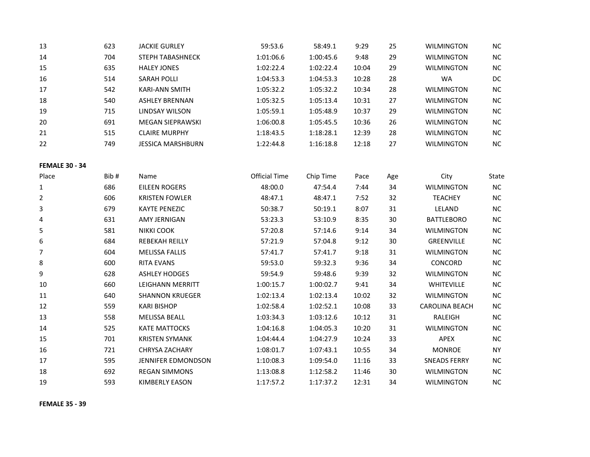| 13 | 623 | <b>JACKIE GURLEY</b>     | 59:53.6   | 58:49.1   | 9:29  | 25 | <b>WILMINGTON</b> | <b>NC</b> |
|----|-----|--------------------------|-----------|-----------|-------|----|-------------------|-----------|
| 14 | 704 | <b>STEPH TABASHNECK</b>  | 1:01:06.6 | 1:00:45.6 | 9:48  | 29 | <b>WILMINGTON</b> | NC.       |
| 15 | 635 | <b>HALEY JONES</b>       | 1:02:22.4 | 1:02:22.4 | 10:04 | 29 | <b>WILMINGTON</b> | <b>NC</b> |
| 16 | 514 | SARAH POLLI              | 1:04:53.3 | 1:04:53.3 | 10:28 | 28 | <b>WA</b>         | DC.       |
| 17 | 542 | <b>KARI-ANN SMITH</b>    | 1:05:32.2 | 1:05:32.2 | 10:34 | 28 | <b>WILMINGTON</b> | <b>NC</b> |
| 18 | 540 | <b>ASHLEY BRENNAN</b>    | 1:05:32.5 | 1:05:13.4 | 10:31 | 27 | <b>WILMINGTON</b> | <b>NC</b> |
| 19 | 715 | LINDSAY WILSON           | 1:05:59.1 | 1:05:48.9 | 10:37 | 29 | <b>WILMINGTON</b> | NC.       |
| 20 | 691 | MEGAN SIEPRAWSKI         | 1:06:00.8 | 1:05:45.5 | 10:36 | 26 | <b>WILMINGTON</b> | NC.       |
| 21 | 515 | <b>CLAIRE MURPHY</b>     | 1:18:43.5 | 1:18:28.1 | 12:39 | 28 | <b>WILMINGTON</b> | NC.       |
| 22 | 749 | <b>JESSICA MARSHBURN</b> | 1:22:44.8 | 1:16:18.8 | 12:18 | 27 | <b>WILMINGTON</b> | <b>NC</b> |

## **FEMALE 30 - 34**

| Place | Bib# | Name                      | Official Time | Chip Time | Pace  | Age | City                  | State     |
|-------|------|---------------------------|---------------|-----------|-------|-----|-----------------------|-----------|
| 1     | 686  | EILEEN ROGERS             | 48:00.0       | 47:54.4   | 7:44  | 34  | <b>WILMINGTON</b>     | <b>NC</b> |
| 2     | 606  | <b>KRISTEN FOWLER</b>     | 48:47.1       | 48:47.1   | 7:52  | 32  | <b>TEACHEY</b>        | <b>NC</b> |
| 3     | 679  | <b>KAYTE PENEZIC</b>      | 50:38.7       | 50:19.1   | 8:07  | 31  | LELAND                | <b>NC</b> |
| 4     | 631  | AMY JERNIGAN              | 53:23.3       | 53:10.9   | 8:35  | 30  | <b>BATTLEBORO</b>     | NC        |
| 5     | 581  | NIKKI COOK                | 57:20.8       | 57:14.6   | 9:14  | 34  | <b>WILMINGTON</b>     | <b>NC</b> |
| 6     | 684  | <b>REBEKAH REILLY</b>     | 57:21.9       | 57:04.8   | 9:12  | 30  | <b>GREENVILLE</b>     | NC        |
| 7     | 604  | <b>MELISSA FALLIS</b>     | 57:41.7       | 57:41.7   | 9:18  | 31  | <b>WILMINGTON</b>     | <b>NC</b> |
| 8     | 600  | <b>RITA EVANS</b>         | 59:53.0       | 59:32.3   | 9:36  | 34  | CONCORD               | <b>NC</b> |
| 9     | 628  | <b>ASHLEY HODGES</b>      | 59:54.9       | 59:48.6   | 9:39  | 32  | <b>WILMINGTON</b>     | <b>NC</b> |
| 10    | 660  | LEIGHANN MERRITT          | 1:00:15.7     | 1:00:02.7 | 9:41  | 34  | <b>WHITEVILLE</b>     | <b>NC</b> |
| 11    | 640  | <b>SHANNON KRUEGER</b>    | 1:02:13.4     | 1:02:13.4 | 10:02 | 32  | <b>WILMINGTON</b>     | <b>NC</b> |
| 12    | 559  | <b>KARI BISHOP</b>        | 1:02:58.4     | 1:02:52.1 | 10:08 | 33  | <b>CAROLINA BEACH</b> | <b>NC</b> |
| 13    | 558  | <b>MELISSA BEALL</b>      | 1:03:34.3     | 1:03:12.6 | 10:12 | 31  | RALEIGH               | <b>NC</b> |
| 14    | 525  | <b>KATE MATTOCKS</b>      | 1:04:16.8     | 1:04:05.3 | 10:20 | 31  | <b>WILMINGTON</b>     | <b>NC</b> |
| 15    | 701  | <b>KRISTEN SYMANK</b>     | 1:04:44.4     | 1:04:27.9 | 10:24 | 33  | <b>APEX</b>           | NC        |
| 16    | 721  | <b>CHRYSA ZACHARY</b>     | 1:08:01.7     | 1:07:43.1 | 10:55 | 34  | <b>MONROE</b>         | <b>NY</b> |
| 17    | 595  | <b>JENNIFER EDMONDSON</b> | 1:10:08.3     | 1:09:54.0 | 11:16 | 33  | <b>SNEADS FERRY</b>   | <b>NC</b> |
| 18    | 692  | <b>REGAN SIMMONS</b>      | 1:13:08.8     | 1:12:58.2 | 11:46 | 30  | <b>WILMINGTON</b>     | <b>NC</b> |
| 19    | 593  | <b>KIMBERLY EASON</b>     | 1:17:57.2     | 1:17:37.2 | 12:31 | 34  | <b>WILMINGTON</b>     | <b>NC</b> |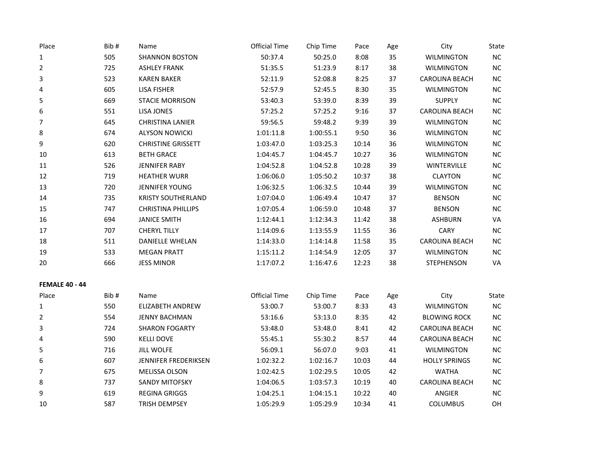| Place                 | Bib# | Name                      | <b>Official Time</b> | Chip Time | Pace  | Age | City                  | State     |
|-----------------------|------|---------------------------|----------------------|-----------|-------|-----|-----------------------|-----------|
| 1                     | 505  | <b>SHANNON BOSTON</b>     | 50:37.4              | 50:25.0   | 8:08  | 35  | <b>WILMINGTON</b>     | $NC$      |
| $\overline{2}$        | 725  | <b>ASHLEY FRANK</b>       | 51:35.5              | 51:23.9   | 8:17  | 38  | <b>WILMINGTON</b>     | NC        |
| 3                     | 523  | <b>KAREN BAKER</b>        | 52:11.9              | 52:08.8   | 8:25  | 37  | <b>CAROLINA BEACH</b> | $NC$      |
| 4                     | 605  | <b>LISA FISHER</b>        | 52:57.9              | 52:45.5   | 8:30  | 35  | <b>WILMINGTON</b>     | $NC$      |
| 5                     | 669  | <b>STACIE MORRISON</b>    | 53:40.3              | 53:39.0   | 8:39  | 39  | <b>SUPPLY</b>         | $NC$      |
| 6                     | 551  | LISA JONES                | 57:25.2              | 57:25.2   | 9:16  | 37  | <b>CAROLINA BEACH</b> | NC        |
| $\overline{7}$        | 645  | CHRISTINA LANIER          | 59:56.5              | 59:48.2   | 9:39  | 39  | <b>WILMINGTON</b>     | NC        |
| 8                     | 674  | <b>ALYSON NOWICKI</b>     | 1:01:11.8            | 1:00:55.1 | 9:50  | 36  | <b>WILMINGTON</b>     | $NC$      |
| 9                     | 620  | <b>CHRISTINE GRISSETT</b> | 1:03:47.0            | 1:03:25.3 | 10:14 | 36  | <b>WILMINGTON</b>     | $NC$      |
| 10                    | 613  | <b>BETH GRACE</b>         | 1:04:45.7            | 1:04:45.7 | 10:27 | 36  | <b>WILMINGTON</b>     | $NC$      |
| 11                    | 526  | JENNIFER RABY             | 1:04:52.8            | 1:04:52.8 | 10:28 | 39  | WINTERVILLE           | $NC$      |
| 12                    | 719  | <b>HEATHER WURR</b>       | 1:06:06.0            | 1:05:50.2 | 10:37 | 38  | <b>CLAYTON</b>        | NC        |
| 13                    | 720  | JENNIFER YOUNG            | 1:06:32.5            | 1:06:32.5 | 10:44 | 39  | <b>WILMINGTON</b>     | $NC$      |
| 14                    | 735  | <b>KRISTY SOUTHERLAND</b> | 1:07:04.0            | 1:06:49.4 | 10:47 | 37  | <b>BENSON</b>         | $NC$      |
| 15                    | 747  | <b>CHRISTINA PHILLIPS</b> | 1:07:05.4            | 1:06:59.0 | 10:48 | 37  | <b>BENSON</b>         | NC        |
| 16                    | 694  | <b>JANICE SMITH</b>       | 1:12:44.1            | 1:12:34.3 | 11:42 | 38  | <b>ASHBURN</b>        | VA        |
| 17                    | 707  | <b>CHERYL TILLY</b>       | 1:14:09.6            | 1:13:55.9 | 11:55 | 36  | CARY                  | $NC$      |
| $18\,$                | 511  | <b>DANIELLE WHELAN</b>    | 1:14:33.0            | 1:14:14.8 | 11:58 | 35  | <b>CAROLINA BEACH</b> | $NC$      |
| 19                    | 533  | <b>MEGAN PRATT</b>        | 1:15:11.2            | 1:14:54.9 | 12:05 | 37  | <b>WILMINGTON</b>     | NC        |
| 20                    | 666  | <b>JESS MINOR</b>         | 1:17:07.2            | 1:16:47.6 | 12:23 | 38  | <b>STEPHENSON</b>     | VA        |
| <b>FEMALE 40 - 44</b> |      |                           |                      |           |       |     |                       |           |
| Place                 | Bib# | Name                      | <b>Official Time</b> | Chip Time | Pace  | Age | City                  | State     |
| 1                     | 550  | <b>ELIZABETH ANDREW</b>   | 53:00.7              | 53:00.7   | 8:33  | 43  | <b>WILMINGTON</b>     | $NC$      |
| $\overline{2}$        | 554  | <b>JENNY BACHMAN</b>      | 53:16.6              | 53:13.0   | 8:35  | 42  | <b>BLOWING ROCK</b>   | $NC$      |
| 3                     | 724  | <b>SHARON FOGARTY</b>     | 53:48.0              | 53:48.0   | 8:41  | 42  | <b>CAROLINA BEACH</b> | $NC$      |
| 4                     | 590  | <b>KELLI DOVE</b>         | 55:45.1              | 55:30.2   | 8:57  | 44  | <b>CAROLINA BEACH</b> | $NC$      |
| 5                     | 716  | <b>JILL WOLFE</b>         | 56:09.1              | 56:07.0   | 9:03  | 41  | <b>WILMINGTON</b>     | $NC$      |
| 6                     | 607  | JENNIFER FREDERIKSEN      | 1:02:32.2            | 1:02:16.7 | 10:03 | 44  | <b>HOLLY SPRINGS</b>  | $NC$      |
| 7                     | 675  | MELISSA OLSON             | 1:02:42.5            | 1:02:29.5 | 10:05 | 42  | <b>WATHA</b>          | <b>NC</b> |
| 8                     | 737  | <b>SANDY MITOFSKY</b>     | 1:04:06.5            | 1:03:57.3 | 10:19 | 40  | <b>CAROLINA BEACH</b> | $NC$      |
| 9                     | 619  | <b>REGINA GRIGGS</b>      | 1:04:25.1            | 1:04:15.1 | 10:22 | 40  | ANGIER                | $NC$      |
| 10                    | 587  | <b>TRISH DEMPSEY</b>      | 1:05:29.9            | 1:05:29.9 | 10:34 | 41  | <b>COLUMBUS</b>       | OH        |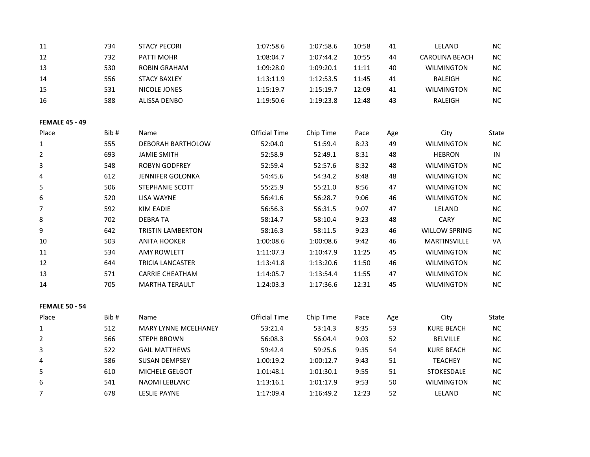| 11                    | 734  | <b>STACY PECORI</b>         | 1:07:58.6            | 1:07:58.6 | 10:58 | 41  | LELAND                | <b>NC</b> |
|-----------------------|------|-----------------------------|----------------------|-----------|-------|-----|-----------------------|-----------|
| 12                    | 732  | PATTI MOHR                  | 1:08:04.7            | 1:07:44.2 | 10:55 | 44  | <b>CAROLINA BEACH</b> | $NC$      |
| 13                    | 530  | <b>ROBIN GRAHAM</b>         | 1:09:28.0            | 1:09:20.1 | 11:11 | 40  | <b>WILMINGTON</b>     | <b>NC</b> |
| 14                    | 556  | <b>STACY BAXLEY</b>         | 1:13:11.9            | 1:12:53.5 | 11:45 | 41  | RALEIGH               | $NC$      |
| 15                    | 531  | NICOLE JONES                | 1:15:19.7            | 1:15:19.7 | 12:09 | 41  | <b>WILMINGTON</b>     | <b>NC</b> |
| 16                    | 588  | ALISSA DENBO                | 1:19:50.6            | 1:19:23.8 | 12:48 | 43  | RALEIGH               | $NC$      |
|                       |      |                             |                      |           |       |     |                       |           |
| <b>FEMALE 45 - 49</b> |      |                             |                      |           |       |     |                       |           |
| Place                 | Bib# | Name                        | <b>Official Time</b> | Chip Time | Pace  | Age | City                  | State     |
| 1                     | 555  | DEBORAH BARTHOLOW           | 52:04.0              | 51:59.4   | 8:23  | 49  | <b>WILMINGTON</b>     | <b>NC</b> |
| 2                     | 693  | <b>JAMIE SMITH</b>          | 52:58.9              | 52:49.1   | 8:31  | 48  | <b>HEBRON</b>         | IN        |
| 3                     | 548  | <b>ROBYN GODFREY</b>        | 52:59.4              | 52:57.6   | 8:32  | 48  | <b>WILMINGTON</b>     | NC        |
| 4                     | 612  | <b>JENNIFER GOLONKA</b>     | 54:45.6              | 54:34.2   | 8:48  | 48  | <b>WILMINGTON</b>     | <b>NC</b> |
| 5                     | 506  | STEPHANIE SCOTT             | 55:25.9              | 55:21.0   | 8:56  | 47  | <b>WILMINGTON</b>     | $NC$      |
| 6                     | 520  | LISA WAYNE                  | 56:41.6              | 56:28.7   | 9:06  | 46  | <b>WILMINGTON</b>     | $NC$      |
| 7                     | 592  | <b>KIM EADIE</b>            | 56:56.3              | 56:31.5   | 9:07  | 47  | LELAND                | $NC$      |
| 8                     | 702  | <b>DEBRATA</b>              | 58:14.7              | 58:10.4   | 9:23  | 48  | CARY                  | NC        |
| 9                     | 642  | <b>TRISTIN LAMBERTON</b>    | 58:16.3              | 58:11.5   | 9:23  | 46  | <b>WILLOW SPRING</b>  | <b>NC</b> |
| 10                    | 503  | <b>ANITA HOOKER</b>         | 1:00:08.6            | 1:00:08.6 | 9:42  | 46  | MARTINSVILLE          | VA        |
| 11                    | 534  | <b>AMY ROWLETT</b>          | 1:11:07.3            | 1:10:47.9 | 11:25 | 45  | <b>WILMINGTON</b>     | NC        |
| 12                    | 644  | <b>TRICIA LANCASTER</b>     | 1:13:41.8            | 1:13:20.6 | 11:50 | 46  | <b>WILMINGTON</b>     | <b>NC</b> |
| 13                    | 571  | <b>CARRIE CHEATHAM</b>      | 1:14:05.7            | 1:13:54.4 | 11:55 | 47  | <b>WILMINGTON</b>     | $NC$      |
| 14                    | 705  | <b>MARTHA TERAULT</b>       | 1:24:03.3            | 1:17:36.6 | 12:31 | 45  | <b>WILMINGTON</b>     | $NC$      |
|                       |      |                             |                      |           |       |     |                       |           |
| <b>FEMALE 50 - 54</b> |      |                             |                      |           |       |     |                       |           |
| Place                 | Bib# | Name                        | <b>Official Time</b> | Chip Time | Pace  | Age | City                  | State     |
| 1                     | 512  | <b>MARY LYNNE MCELHANEY</b> | 53:21.4              | 53:14.3   | 8:35  | 53  | <b>KURE BEACH</b>     | NC        |

|   | 512 | <b>MARY LYNNE MCELHANEY</b> | 53:21.4   | 53:14.3   | 8:35  | 53 | <b>KURE BEACH</b> | <b>NC</b> |
|---|-----|-----------------------------|-----------|-----------|-------|----|-------------------|-----------|
|   | 566 | <b>STEPH BROWN</b>          | 56:08.3   | 56:04.4   | 9:03  | 52 | <b>BELVILLE</b>   | <b>NC</b> |
| 3 | 522 | <b>GAIL MATTHEWS</b>        | 59:42.4   | 59:25.6   | 9:35  | 54 | <b>KURE BEACH</b> | <b>NC</b> |
| 4 | 586 | <b>SUSAN DEMPSEY</b>        | 1:00:19.2 | 1:00:12.7 | 9:43  | 51 | <b>TEACHEY</b>    | <b>NC</b> |
| 5 | 610 | <b>MICHELE GELGOT</b>       | 1:01:48.1 | 1:01:30.1 | 9:55  | 51 | <b>STOKESDALE</b> | <b>NC</b> |
| 6 | 541 | NAOMI LEBLANC               | 1:13:16.1 | 1:01:17.9 | 9:53  | 50 | <b>WILMINGTON</b> | <b>NC</b> |
|   | 678 | LESLIE PAYNE                | 1:17:09.4 | 1:16:49.2 | 12:23 | 52 | LELAND            | <b>NC</b> |